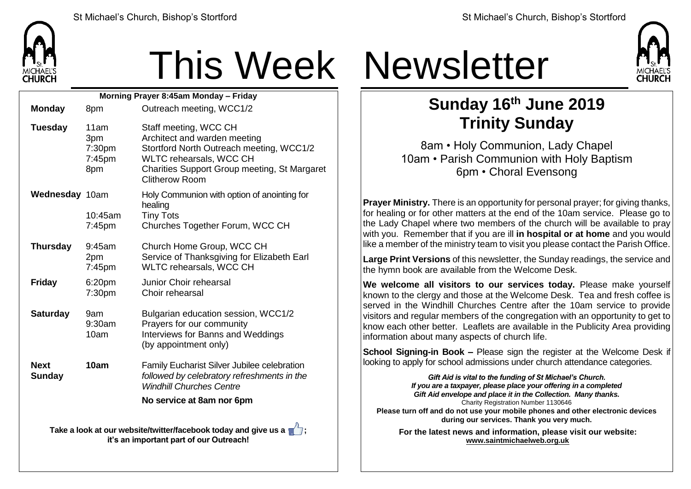

## This Week Newsletter

| Morning Prayer 8:45am Monday - Friday                           |                                        |                                                                                                                                                                                                       |  |  |  |
|-----------------------------------------------------------------|----------------------------------------|-------------------------------------------------------------------------------------------------------------------------------------------------------------------------------------------------------|--|--|--|
| <b>Monday</b>                                                   | 8pm                                    | Outreach meeting, WCC1/2                                                                                                                                                                              |  |  |  |
| <b>Tuesday</b>                                                  | 11am<br>3pm<br>7:30pm<br>7:45pm<br>8pm | Staff meeting, WCC CH<br>Architect and warden meeting<br>Stortford North Outreach meeting, WCC1/2<br>WLTC rehearsals, WCC CH<br>Charities Support Group meeting, St Margaret<br><b>Clitherow Room</b> |  |  |  |
| Wednesday 10am                                                  | 10:45am<br>7:45pm                      | Holy Communion with option of anointing for<br>healing<br><b>Tiny Tots</b><br>Churches Together Forum, WCC CH                                                                                         |  |  |  |
| <b>Thursday</b>                                                 | 9:45am<br>2pm<br>7:45pm                | Church Home Group, WCC CH<br>Service of Thanksgiving for Elizabeth Earl<br>WLTC rehearsals, WCC CH                                                                                                    |  |  |  |
| <b>Friday</b>                                                   | 6:20pm<br>7:30pm                       | Junior Choir rehearsal<br>Choir rehearsal                                                                                                                                                             |  |  |  |
| <b>Saturday</b>                                                 | 9am<br>9:30am<br>10am                  | Bulgarian education session, WCC1/2<br>Prayers for our community<br>Interviews for Banns and Weddings<br>(by appointment only)                                                                        |  |  |  |
| <b>Next</b><br><b>Sunday</b>                                    | 10am                                   | Family Eucharist Silver Jubilee celebration<br>followed by celebratory refreshments in the<br><b>Windhill Churches Centre</b>                                                                         |  |  |  |
|                                                                 | No service at 8am nor 6pm              |                                                                                                                                                                                                       |  |  |  |
| Take a look at our website/twitter/facebook today and give us a |                                        |                                                                                                                                                                                                       |  |  |  |

**it's an important part of our Outreach!**



## **Sunday 16th June 2019 Trinity Sunday**

8am • Holy Communion, Lady Chapel 10am • Parish Communion with Holy Baptism 6pm • Choral Evensong

**Prayer Ministry.** There is an opportunity for personal prayer; for giving thanks, for healing or for other matters at the end of the 10am service. Please go to the Lady Chapel where two members of the church will be available to pray with you. Remember that if you are ill **in hospital or at home** and you would like a member of the ministry team to visit you please contact the Parish Office.

**Large Print Versions** of this newsletter, the Sunday readings, the service and the hymn book are available from the Welcome Desk.

**We welcome all visitors to our services today.** Please make yourself known to the clergy and those at the Welcome Desk. Tea and fresh coffee is served in the Windhill Churches Centre after the 10am service to provide visitors and regular members of the congregation with an opportunity to get to  $k$  know each other better. Leaflets are available in the Publicity Area providing information about many aspects of church life.

**School Signing-in Book –** Please sign the register at the Welcome Desk if looking to apply for school admissions under church attendance categories.

*Gift Aid is vital to the funding of St Michael's Church. If you are a taxpayer, please place your offering in a completed Gift Aid envelope and place it in the Collection. Many thanks.* Charity Registration Number 1130646 **Please turn off and do not use your mobile phones and other electronic devices during our services. Thank you very much. For the latest news and information, please visit our website:**

**[www.saintmichaelweb.org.uk](http://www.saintmichaelweb.org.uk/)**